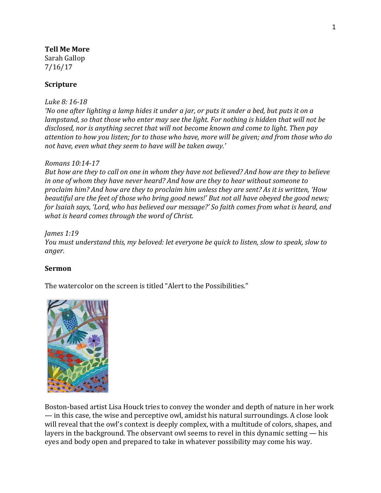## **Tell Me More**

Sarah Gallop 7/16/17

# **Scripture**

### *Luke 8: 16-18*

*'No one after lighting a lamp hides it under a jar, or puts it under a bed, but puts it on a lampstand, so that those who enter may see the light. For nothing is hidden that will not be disclosed, nor is anything secret that will not become known and come to light. Then pay attention to how you listen; for to those who have, more will be given; and from those who do not have, even what they seem to have will be taken away.'* 

### *Romans 10:14-17*

*But how are they to call on one in whom they have not believed? And how are they to believe in one of whom they have never heard? And how are they to hear without someone to proclaim him? And how are they to proclaim him unless they are sent? As it is written, 'How beautiful are the feet of those who bring good news!' But not all have obeyed the good news; for Isaiah says, 'Lord, who has believed our message?' So faith comes from what is heard, and what is heard comes through the word of Christ.*

*James 1:19 You must understand this, my beloved: let everyone be quick to listen, slow to speak, slow to anger.*

## **Sermon**

The watercolor on the screen is titled "Alert to the Possibilities."



Boston-based artist Lisa Houck tries to convey the wonder and depth of nature in her work — in this case, the wise and perceptive owl, amidst his natural surroundings. A close look will reveal that the owl's context is deeply complex, with a multitude of colors, shapes, and layers in the background. The observant owl seems to revel in this dynamic setting — his eyes and body open and prepared to take in whatever possibility may come his way.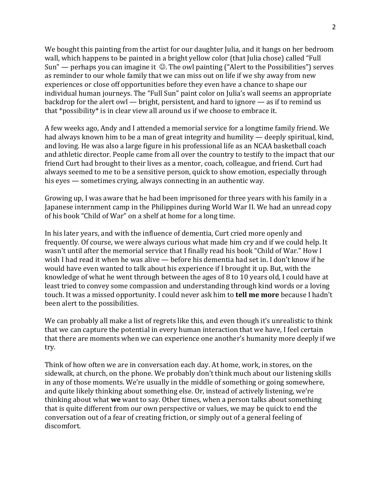We bought this painting from the artist for our daughter Julia, and it hangs on her bedroom wall, which happens to be painted in a bright yellow color (that Julia chose) called "Full Sun" — perhaps you can imagine it  $\odot$ . The owl painting ("Alert to the Possibilities") serves as reminder to our whole family that we can miss out on life if we shy away from new experiences or close off opportunities before they even have a chance to shape our individual human journeys. The "Full Sun" paint color on Julia's wall seems an appropriate backdrop for the alert owl — bright, persistent, and hard to ignore — as if to remind us that \*possibility\* is in clear view all around us if we choose to embrace it.

A few weeks ago, Andy and I attended a memorial service for a longtime family friend. We had always known him to be a man of great integrity and humility — deeply spiritual, kind, and loving. He was also a large figure in his professional life as an NCAA basketball coach and athletic director. People came from all over the country to testify to the impact that our friend Curt had brought to their lives as a mentor, coach, colleague, and friend. Curt had always seemed to me to be a sensitive person, quick to show emotion, especially through his eyes — sometimes crying, always connecting in an authentic way.

Growing up, I was aware that he had been imprisoned for three years with his family in a Japanese internment camp in the Philippines during World War II. We had an unread copy of his book "Child of War" on a shelf at home for a long time.

In his later years, and with the influence of dementia, Curt cried more openly and frequently. Of course, we were always curious what made him cry and if we could help. It wasn't until after the memorial service that I finally read his book "Child of War." How I wish I had read it when he was alive — before his dementia had set in. I don't know if he would have even wanted to talk about his experience if I brought it up. But, with the knowledge of what he went through between the ages of 8 to 10 years old, I could have at least tried to convey some compassion and understanding through kind words or a loving touch. It was a missed opportunity. I could never ask him to **tell me more** because I hadn't been alert to the possibilities.

We can probably all make a list of regrets like this, and even though it's unrealistic to think that we can capture the potential in every human interaction that we have, I feel certain that there are moments when we can experience one another's humanity more deeply if we try.

Think of how often we are in conversation each day. At home, work, in stores, on the sidewalk, at church, on the phone. We probably don't think much about our listening skills in any of those moments. We're usually in the middle of something or going somewhere, and quite likely thinking about something else. Or, instead of actively listening, we're thinking about what **we** want to say. Other times, when a person talks about something that is quite different from our own perspective or values, we may be quick to end the conversation out of a fear of creating friction, or simply out of a general feeling of discomfort.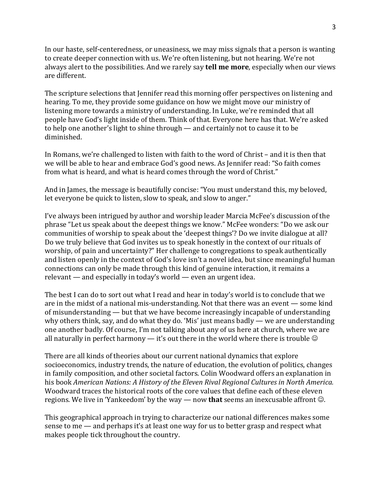In our haste, self-centeredness, or uneasiness, we may miss signals that a person is wanting to create deeper connection with us. We're often listening, but not hearing. We're not always alert to the possibilities. And we rarely say **tell me more**, especially when our views are different.

The scripture selections that Jennifer read this morning offer perspectives on listening and hearing. To me, they provide some guidance on how we might move our ministry of listening more towards a ministry of understanding. In Luke, we're reminded that all people have God's light inside of them. Think of that. Everyone here has that. We're asked to help one another's light to shine through — and certainly not to cause it to be diminished.

In Romans, we're challenged to listen with faith to the word of Christ – and it is then that we will be able to hear and embrace God's good news. As Jennifer read: "So faith comes from what is heard, and what is heard comes through the word of Christ."

And in James, the message is beautifully concise: "You must understand this, my beloved, let everyone be quick to listen, slow to speak, and slow to anger."

I've always been intrigued by author and worship leader Marcia McFee's discussion of the phrase "Let us speak about the deepest things we know." McFee wonders: "Do we ask our communities of worship to speak about the 'deepest things'? Do we invite dialogue at all? Do we truly believe that God invites us to speak honestly in the context of our rituals of worship, of pain and uncertainty?" Her challenge to congregations to speak authentically and listen openly in the context of God's love isn't a novel idea, but since meaningful human connections can only be made through this kind of genuine interaction, it remains a relevant — and especially in today's world — even an urgent idea.

The best I can do to sort out what I read and hear in today's world is to conclude that we are in the midst of a national mis-understanding. Not that there was an event — some kind of misunderstanding — but that we have become increasingly incapable of understanding why others think, say, and do what they do. 'Mis' just means badly — we are understanding one another badly. Of course, I'm not talking about any of us here at church, where we are all naturally in perfect harmony  $-$  it's out there in the world where there is trouble  $\circledcirc$ 

There are all kinds of theories about our current national dynamics that explore socioeconomics, industry trends, the nature of education, the evolution of politics, changes in family composition, and other societal factors. Colin Woodward offers an explanation in his book *American Nations: A History of the Eleven Rival Regional Cultures in North America.* Woodward traces the historical roots of the core values that define each of these eleven regions. We live in 'Yankeedom' by the way — now **that** seems an inexcusable affront  $\odot$ .

This geographical approach in trying to characterize our national differences makes some sense to me — and perhaps it's at least one way for us to better grasp and respect what makes people tick throughout the country.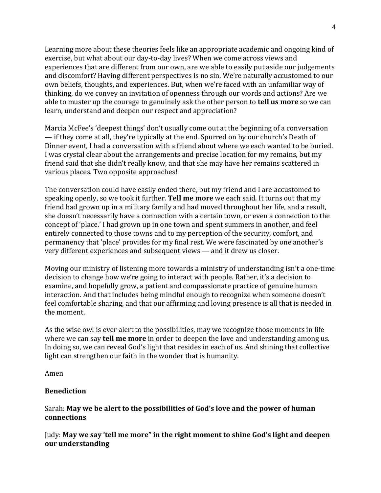Learning more about these theories feels like an appropriate academic and ongoing kind of exercise, but what about our day-to-day lives? When we come across views and experiences that are different from our own, are we able to easily put aside our judgements and discomfort? Having different perspectives is no sin. We're naturally accustomed to our own beliefs, thoughts, and experiences. But, when we're faced with an unfamiliar way of thinking, do we convey an invitation of openness through our words and actions? Are we able to muster up the courage to genuinely ask the other person to **tell us more** so we can learn, understand and deepen our respect and appreciation?

Marcia McFee's 'deepest things' don't usually come out at the beginning of a conversation — if they come at all, they're typically at the end. Spurred on by our church's Death of Dinner event, I had a conversation with a friend about where we each wanted to be buried. I was crystal clear about the arrangements and precise location for my remains, but my friend said that she didn't really know, and that she may have her remains scattered in various places. Two opposite approaches!

The conversation could have easily ended there, but my friend and I are accustomed to speaking openly, so we took it further. **Tell me more** we each said. It turns out that my friend had grown up in a military family and had moved throughout her life, and a result, she doesn't necessarily have a connection with a certain town, or even a connection to the concept of 'place.' I had grown up in one town and spent summers in another, and feel entirely connected to those towns and to my perception of the security, comfort, and permanency that 'place' provides for my final rest. We were fascinated by one another's very different experiences and subsequent views — and it drew us closer.

Moving our ministry of listening more towards a ministry of understanding isn't a one-time decision to change how we're going to interact with people. Rather, it's a decision to examine, and hopefully grow, a patient and compassionate practice of genuine human interaction. And that includes being mindful enough to recognize when someone doesn't feel comfortable sharing, and that our affirming and loving presence is all that is needed in the moment.

As the wise owl is ever alert to the possibilities, may we recognize those moments in life where we can say **tell me more** in order to deepen the love and understanding among us. In doing so, we can reveal God's light that resides in each of us. And shining that collective light can strengthen our faith in the wonder that is humanity.

Amen

# **Benediction**

## Sarah: **May we be alert to the possibilities of God's love and the power of human connections**

Judy: **May we say 'tell me more" in the right moment to shine God's light and deepen our understanding**